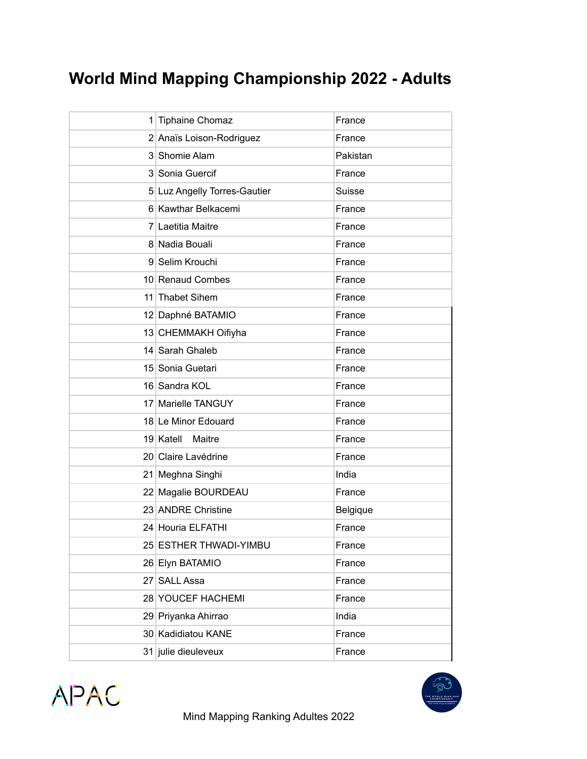## **World Mind Mapping Championship 2022 - Adults**

| 1 Tiphaine Chomaz            | France   |
|------------------------------|----------|
| 2 Anaïs Loison-Rodriguez     | France   |
| 3 Shomie Alam                | Pakistan |
| 3 Sonia Guercif              | France   |
| 5 Luz Angelly Torres-Gautier | Suisse   |
| 6 Kawthar Belkacemi          | France   |
| 7 Laetitia Maitre            | France   |
| 8 Nadia Bouali               | France   |
| 9 Selim Krouchi              | France   |
| 10 Renaud Combes             | France   |
| 11 Thabet Sihem              | France   |
| 12 Daphné BATAMIO            | France   |
| 13 CHEMMAKH Oifiyha          | France   |
| 14 Sarah Ghaleb              | France   |
| 15 Sonia Guetari             | France   |
| 16 Sandra KOL                | France   |
| 17 Marielle TANGUY           | France   |
| 18 Le Minor Edouard          | France   |
| 19 Katell<br>Maitre          | France   |
| 20 Claire Lavédrine          | France   |
| 21 Meghna Singhi             | India    |
| 22 Magalie BOURDEAU          | France   |
| 23 ANDRE Christine           | Belgique |
| 24 Houria ELFATHI            | France   |
| 25 ESTHER THWADI-YIMBU       | France   |
| 26 Elyn BATAMIO              | France   |
| 27 SALL Assa                 | France   |
| 28 YOUCEF HACHEMI            | France   |
| 29 Priyanka Ahirrao          | India    |
| 30 Kadidiatou KANE           | France   |
| 31 julie dieuleveux          | France   |